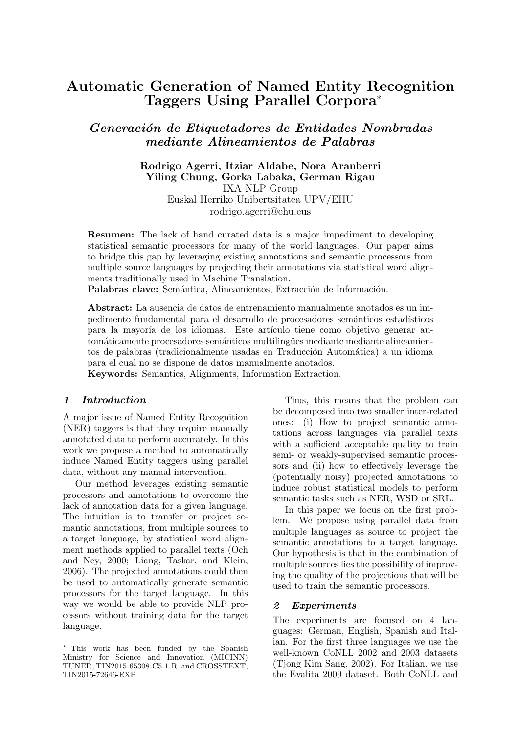# Automatic Generation of Named Entity Recognition Taggers Using Parallel Corpora<sup>∗</sup>

Generación de Etiquetadores de Entidades Nombradas mediante Alineamientos de Palabras

## Rodrigo Agerri, Itziar Aldabe, Nora Aranberri Yiling Chung, Gorka Labaka, German Rigau IXA NLP Group Euskal Herriko Unibertsitatea UPV/EHU rodrigo.agerri@ehu.eus

Resumen: The lack of hand curated data is a major impediment to developing statistical semantic processors for many of the world languages. Our paper aims to bridge this gap by leveraging existing annotations and semantic processors from multiple source languages by projecting their annotations via statistical word alignments traditionally used in Machine Translation.

Palabras clave: Semántica, Alineamientos, Extracción de Información.

Abstract: La ausencia de datos de entrenamiento manualmente anotados es un impedimento fundamental para el desarrollo de procesadores semánticos estadísticos para la mayoría de los idiomas. Este artículo tiene como objetivo generar automáticamente procesadores semánticos multilingües mediante mediante alineamientos de palabras (tradicionalmente usadas en Traducción Automática) a un idioma para el cual no se dispone de datos manualmente anotados.

Keywords: Semantics, Alignments, Information Extraction.

#### 1 Introduction

A major issue of Named Entity Recognition (NER) taggers is that they require manually annotated data to perform accurately. In this work we propose a method to automatically induce Named Entity taggers using parallel data, without any manual intervention.

Our method leverages existing semantic processors and annotations to overcome the lack of annotation data for a given language. The intuition is to transfer or project semantic annotations, from multiple sources to a target language, by statistical word alignment methods applied to parallel texts (Och and Ney, 2000; Liang, Taskar, and Klein, 2006). The projected annotations could then be used to automatically generate semantic processors for the target language. In this way we would be able to provide NLP processors without training data for the target language.

Thus, this means that the problem can be decomposed into two smaller inter-related ones: (i) How to project semantic annotations across languages via parallel texts with a sufficient acceptable quality to train semi- or weakly-supervised semantic processors and (ii) how to effectively leverage the (potentially noisy) projected annotations to induce robust statistical models to perform semantic tasks such as NER, WSD or SRL.

In this paper we focus on the first problem. We propose using parallel data from multiple languages as source to project the semantic annotations to a target language. Our hypothesis is that in the combination of multiple sources lies the possibility of improving the quality of the projections that will be used to train the semantic processors.

#### 2 Experiments

The experiments are focused on 4 languages: German, English, Spanish and Italian. For the first three languages we use the well-known CoNLL 2002 and 2003 datasets (Tjong Kim Sang, 2002). For Italian, we use the Evalita 2009 dataset. Both CoNLL and

<sup>∗</sup> This work has been funded by the Spanish Ministry for Science and Innovation (MICINN) TUNER, TIN2015-65308-C5-1-R. and CROSSTEXT, TIN2015-72646-EXP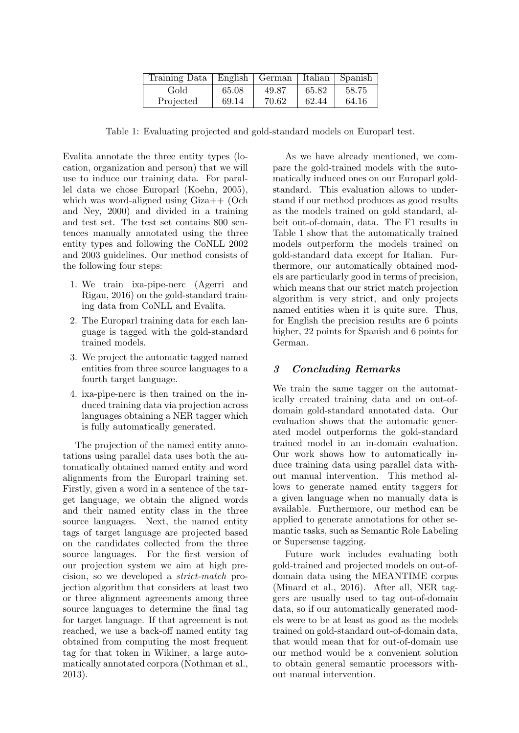| Training Data   English   German   Italian   Spanish |       |       |       |       |
|------------------------------------------------------|-------|-------|-------|-------|
| Gold                                                 | 65.08 | 49.87 | 65.82 | 58.75 |
| Projected                                            | 69.14 | 70.62 | 62.44 | 64.16 |

Table 1: Evaluating projected and gold-standard models on Europarl test.

Evalita annotate the three entity types (location, organization and person) that we will use to induce our training data. For parallel data we chose Europarl (Koehn, 2005), which was word-aligned using Giza++ (Och and Ney, 2000) and divided in a training and test set. The test set contains 800 sentences manually annotated using the three entity types and following the CoNLL 2002 and 2003 guidelines. Our method consists of the following four steps:

- 1. We train ixa-pipe-nerc (Agerri and Rigau, 2016) on the gold-standard training data from CoNLL and Evalita.
- 2. The Europarl training data for each language is tagged with the gold-standard trained models.
- 3. We project the automatic tagged named entities from three source languages to a fourth target language.
- 4. ixa-pipe-nerc is then trained on the induced training data via projection across languages obtaining a NER tagger which is fully automatically generated.

The projection of the named entity annotations using parallel data uses both the automatically obtained named entity and word alignments from the Europarl training set. Firstly, given a word in a sentence of the target language, we obtain the aligned words and their named entity class in the three source languages. Next, the named entity tags of target language are projected based on the candidates collected from the three source languages. For the first version of our projection system we aim at high precision, so we developed a strict-match projection algorithm that considers at least two or three alignment agreements among three source languages to determine the final tag for target language. If that agreement is not reached, we use a back-off named entity tag obtained from computing the most frequent tag for that token in Wikiner, a large automatically annotated corpora (Nothman et al., 2013).

As we have already mentioned, we compare the gold-trained models with the automatically induced ones on our Europarl goldstandard. This evaluation allows to understand if our method produces as good results as the models trained on gold standard, albeit out-of-domain, data. The F1 results in Table 1 show that the automatically trained models outperform the models trained on gold-standard data except for Italian. Furthermore, our automatically obtained models are particularly good in terms of precision, which means that our strict match projection algorithm is very strict, and only projects named entities when it is quite sure. Thus, for English the precision results are 6 points higher, 22 points for Spanish and 6 points for German.

# 3 Concluding Remarks

We train the same tagger on the automatically created training data and on out-ofdomain gold-standard annotated data. Our evaluation shows that the automatic generated model outperforms the gold-standard trained model in an in-domain evaluation. Our work shows how to automatically induce training data using parallel data without manual intervention. This method allows to generate named entity taggers for a given language when no manually data is available. Furthermore, our method can be applied to generate annotations for other semantic tasks, such as Semantic Role Labeling or Supersense tagging.

Future work includes evaluating both gold-trained and projected models on out-ofdomain data using the MEANTIME corpus (Minard et al., 2016). After all, NER taggers are usually used to tag out-of-domain data, so if our automatically generated models were to be at least as good as the models trained on gold-standard out-of-domain data, that would mean that for out-of-domain use our method would be a convenient solution to obtain general semantic processors without manual intervention.